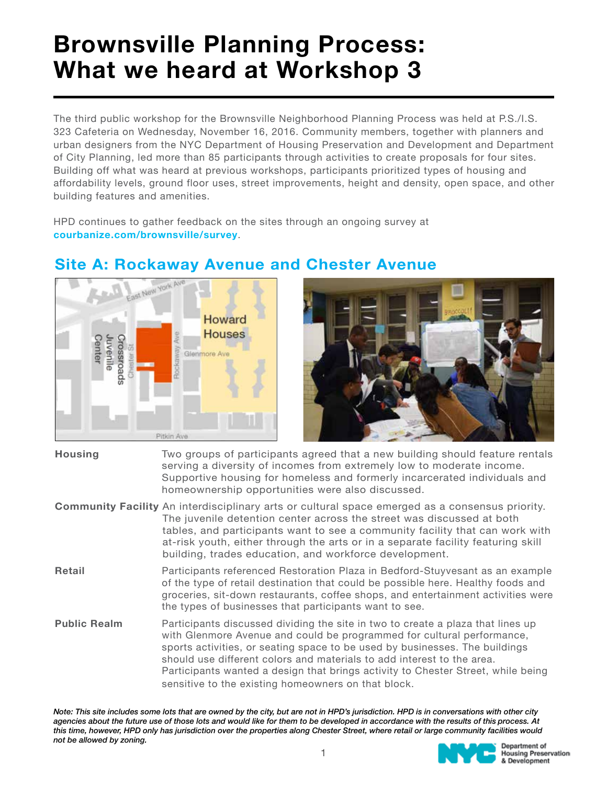# Brownsville Planning Process: What we heard at Workshop 3

The third public workshop for the Brownsville Neighborhood Planning Process was held at P.S./I.S. 323 Cafeteria on Wednesday, November 16, 2016. Community members, together with planners and urban designers from the NYC Department of Housing Preservation and Development and Department of City Planning, led more than 85 participants through activities to create proposals for four sites. Building off what was heard at previous workshops, participants prioritized types of housing and affordability levels, ground floor uses, street improvements, height and density, open space, and other building features and amenities.

HPD continues to gather feedback on the sites through an ongoing survey at courbanize.com/brownsville/survey.



### Site A: Rockaway Avenue and Chester Avenue



| Housing | Two groups of participants agreed that a new building should feature rentals<br>serving a diversity of incomes from extremely low to moderate income.<br>Supportive housing for homeless and formerly incarcerated individuals and<br>homeownership opportunities were also discussed. |
|---------|----------------------------------------------------------------------------------------------------------------------------------------------------------------------------------------------------------------------------------------------------------------------------------------|
|         |                                                                                                                                                                                                                                                                                        |

Community Facility An interdisciplinary arts or cultural space emerged as a consensus priority. The juvenile detention center across the street was discussed at both tables, and participants want to see a community facility that can work with at-risk youth, either through the arts or in a separate facility featuring skill building, trades education, and workforce development.

- Retail **Participants referenced Restoration Plaza in Bedford-Stuyvesant as an example** of the type of retail destination that could be possible here. Healthy foods and groceries, sit-down restaurants, coffee shops, and entertainment activities were the types of businesses that participants want to see.
- Public Realm Participants discussed dividing the site in two to create a plaza that lines up with Glenmore Avenue and could be programmed for cultural performance, sports activities, or seating space to be used by businesses. The buildings should use different colors and materials to add interest to the area. Participants wanted a design that brings activity to Chester Street, while being sensitive to the existing homeowners on that block.

Note: This site includes some lots that are owned by the city, but are not in HPD's jurisdiction. HPD is in conversations with other city agencies about the future use of those lots and would like for them to be developed in accordance with the results of this process. At this time, however, HPD only has jurisdiction over the properties along Chester Street, where retail or large community facilities would not be allowed by zoning.Department of

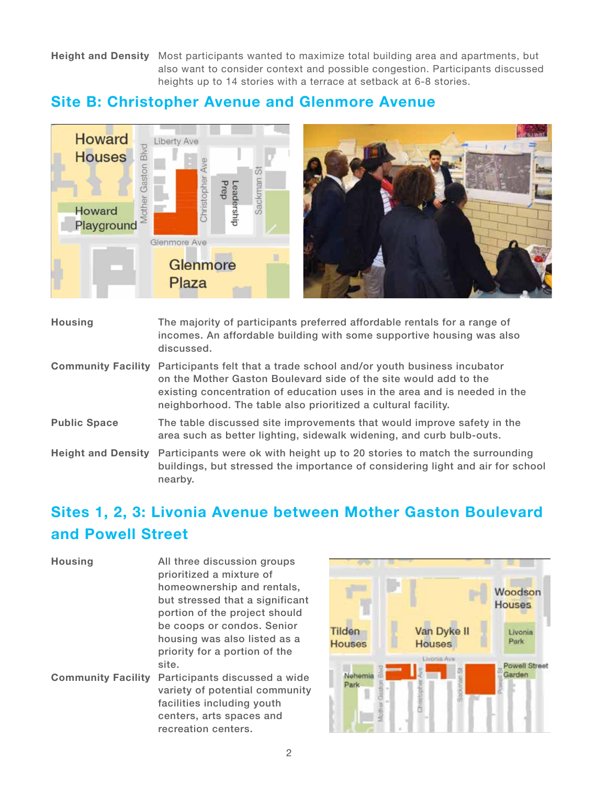Height and Density Most participants wanted to maximize total building area and apartments, but also want to consider context and possible congestion. Participants discussed heights up to 14 stories with a terrace at setback at 6-8 stories.

#### Site B: Christopher Avenue and Glenmore Avenue



| <b>Housing</b>            | The majority of participants preferred affordable rentals for a range of<br>incomes. An affordable building with some supportive housing was also<br>discussed.                                                                                                                         |
|---------------------------|-----------------------------------------------------------------------------------------------------------------------------------------------------------------------------------------------------------------------------------------------------------------------------------------|
| <b>Community Facility</b> | Participants felt that a trade school and/or youth business incubator<br>on the Mother Gaston Boulevard side of the site would add to the<br>existing concentration of education uses in the area and is needed in the<br>neighborhood. The table also prioritized a cultural facility. |
| <b>Public Space</b>       | The table discussed site improvements that would improve safety in the<br>area such as better lighting, sidewalk widening, and curb bulb-outs.                                                                                                                                          |
| <b>Height and Density</b> | Participants were ok with height up to 20 stories to match the surrounding<br>buildings, but stressed the importance of considering light and air for school<br>nearby.                                                                                                                 |

## Sites 1, 2, 3: Livonia Avenue between Mother Gaston Boulevard and Powell Street

| <b>Housing</b>            | All three discussion groups<br>prioritized a mixture of<br>homeownership and rentals,<br>but stressed that a significant<br>portion of the project should<br>be coops or condos. Senior<br>housing was also listed as a<br>priority for a portion of the |
|---------------------------|----------------------------------------------------------------------------------------------------------------------------------------------------------------------------------------------------------------------------------------------------------|
|                           | site.                                                                                                                                                                                                                                                    |
| <b>Community Facility</b> | Participants discussed a wide<br>variety of potential community<br>facilities including youth<br>centers, arts spaces and<br>recreation centers.                                                                                                         |